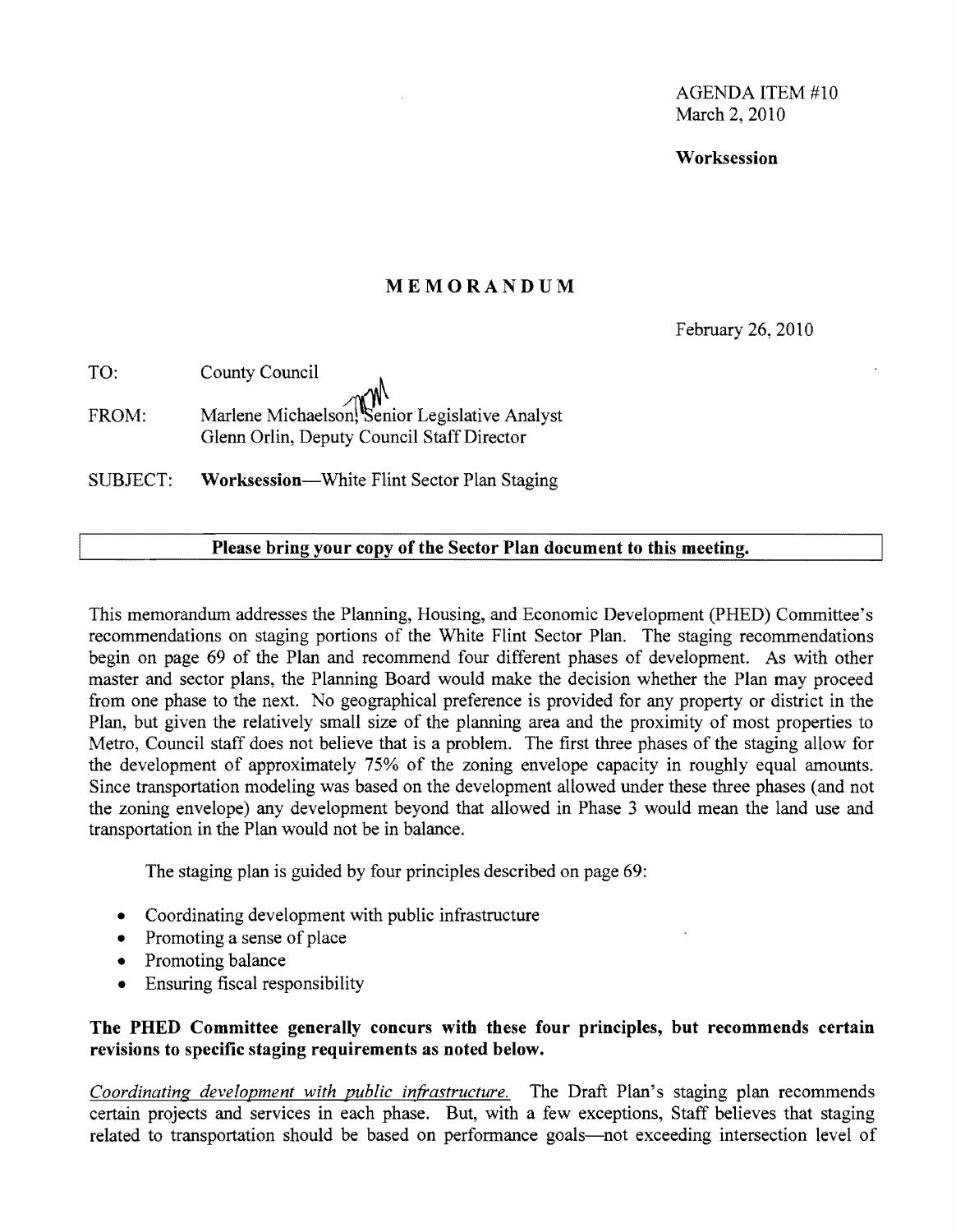AGENDA ITEM #10 March 2, 2010

Worksession

#### MEMORANDUM

February 26, 2010

| TO:   | County Council                                                                               |
|-------|----------------------------------------------------------------------------------------------|
| FROM: | Marlene Michaelson, Senior Legislative Analyst<br>Glenn Orlin, Deputy Council Staff Director |
|       |                                                                                              |

SUBJECT: Worksession—White Flint Sector Plan Staging

#### Please bring your copy of the Sector Plan document to this meeting.

This memorandum addresses the Planning, Housing, and Economic Development (PHED) Committee's recommendations on staging portions of the White Flint Sector Plan. The staging recommendations begin on page 69 of the Plan and recommend four different phases of development. As with other master and sector plans, the Planning Board would make the decision whether the Plan may proceed from one phase to the next. No geographical preference is provided for any property or district in the Plan, but given the relatively small size of the planning area and the proximity of most properties to Metro, Council staff does not believe that is a problem. The first three phases of the staging allow for the development of approximately 75% of the zoning envelope capacity in roughly equal amounts. Since transportation modeling was based on the development allowed under these three phases (and not the zoning envelope) any development beyond that allowed in Phase 3 would mean the land use and transportation in the Plan would not be in balance.

The staging plan is guided by four principles described on page 69:

- Coordinating development with public infrastructure
- Promoting a sense of place
- Promoting balance
- Ensuring fiscal responsibility

#### The PHED Committee generally concurs with these four principles, but recommends certain revisions to specific staging requirements as noted below.

*Coordinating development with public infrastructure.* The Draft Plan's staging plan recommends certain projects and services in each phase. But, with a few exceptions, Staff believes that staging related to transportation should be based on performance goals—not exceeding intersection level of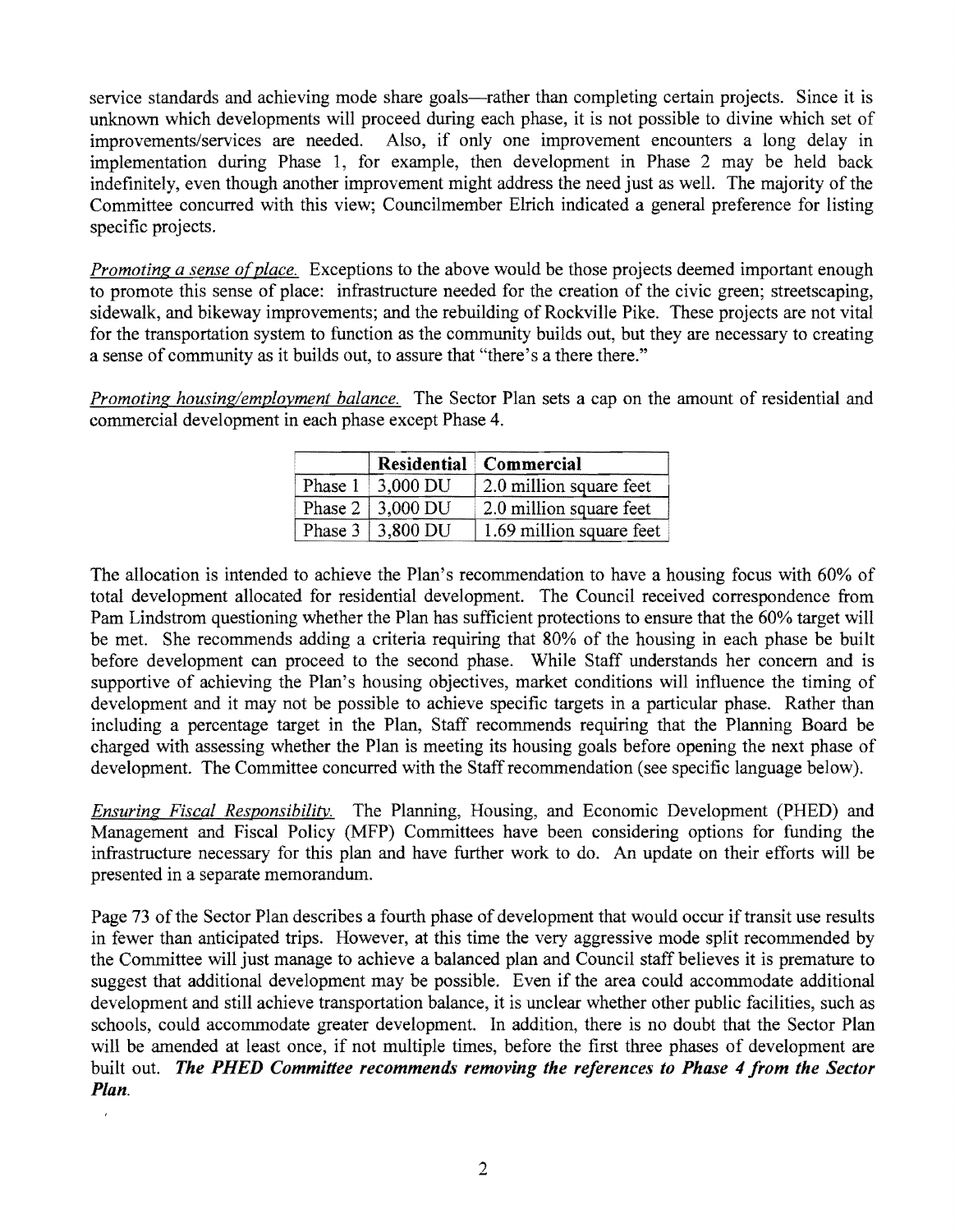service standards and achieving mode share goals—rather than completing certain projects. Since it is unknown which developments will proceed during each phase, it is not possible to divine which set of improvements/services are needed. Also, if only one improvement encounters a long delay in implementation during Phase 1, for example, then development in Phase 2 may be held back indefinitely, even though another improvement might address the need just as well. The majority of the Committee concurred with this view; Councilmember EIrich indicated a general preference for listing specific projects.

*Promoting a sense of place.* Exceptions to the above would be those projects deemed important enough to promote this sense of place: infrastructure needed for the creation of the civic green; streetscaping, sidewalk, and bikeway improvements; and the rebuilding of Rockville Pike. These projects are not vital for the transportation system to function as the community builds out, but they are necessary to creating a sense of community as it builds out, to assure that "there's a there there."

*Promoting housing/employment balance.* The Sector Plan sets a cap on the amount of residential and commercial development in each phase except Phase 4.

|         |          | Residential Commercial   |
|---------|----------|--------------------------|
| Phase 1 | 3,000 DU | 2.0 million square feet  |
| Phase 2 | 3,000 DU | 2.0 million square feet  |
| Phase 3 | 3,800 DU | 1.69 million square feet |

The allocation is intended to achieve the Plan's recommendation to have a housing focus with 60% of total development allocated for residential development. The Council received correspondence from Pam Lindstrom questioning whether the Plan has sufficient protections to ensure that the 60% target will be met. She recommends adding a criteria requiring that 80% of the housing in each phase be built before development can proceed to the second phase. While Staff understands her concern and is supportive of achieving the Plan's housing objectives, market conditions will influence the timing of development and it may not be possible to achieve specific targets in a particular phase. Rather than including a percentage target in the Plan, Staff recommends requiring that the Planning Board be charged with assessing whether the Plan is meeting its housing goals before opening the next phase of development. The Committee concurred with the Staff recommendation (see specific language below).

*Ensuring Fiscal Responsibility.* The Planning, Housing, and Economic Development (PHED) and Management and Fiscal Policy (MFP) Committees have been considering options for funding the infrastructure necessary for this plan and have further work to do. An update on their efforts will be presented in a separate memorandum.

Page 73 of the Sector Plan describes a fourth phase of development that would occur if transit use results in fewer than anticipated trips. However, at this time the very aggressive mode split recommended by the Committee will just manage to achieve a balanced plan and Council staff believes it is premature to suggest that additional development may be possible. Even if the area could accommodate additional development and still achieve transportation balance, it is unclear whether other public facilities, such as schools, could accommodate greater development. In addition, there is no doubt that the Sector Plan will be amended at least once, if not multiple times, before the first three phases of development are built out. *The PHED Committee recommends removing the references to Phase* 4 *from the Sector Plan.* 

 $\overline{ }$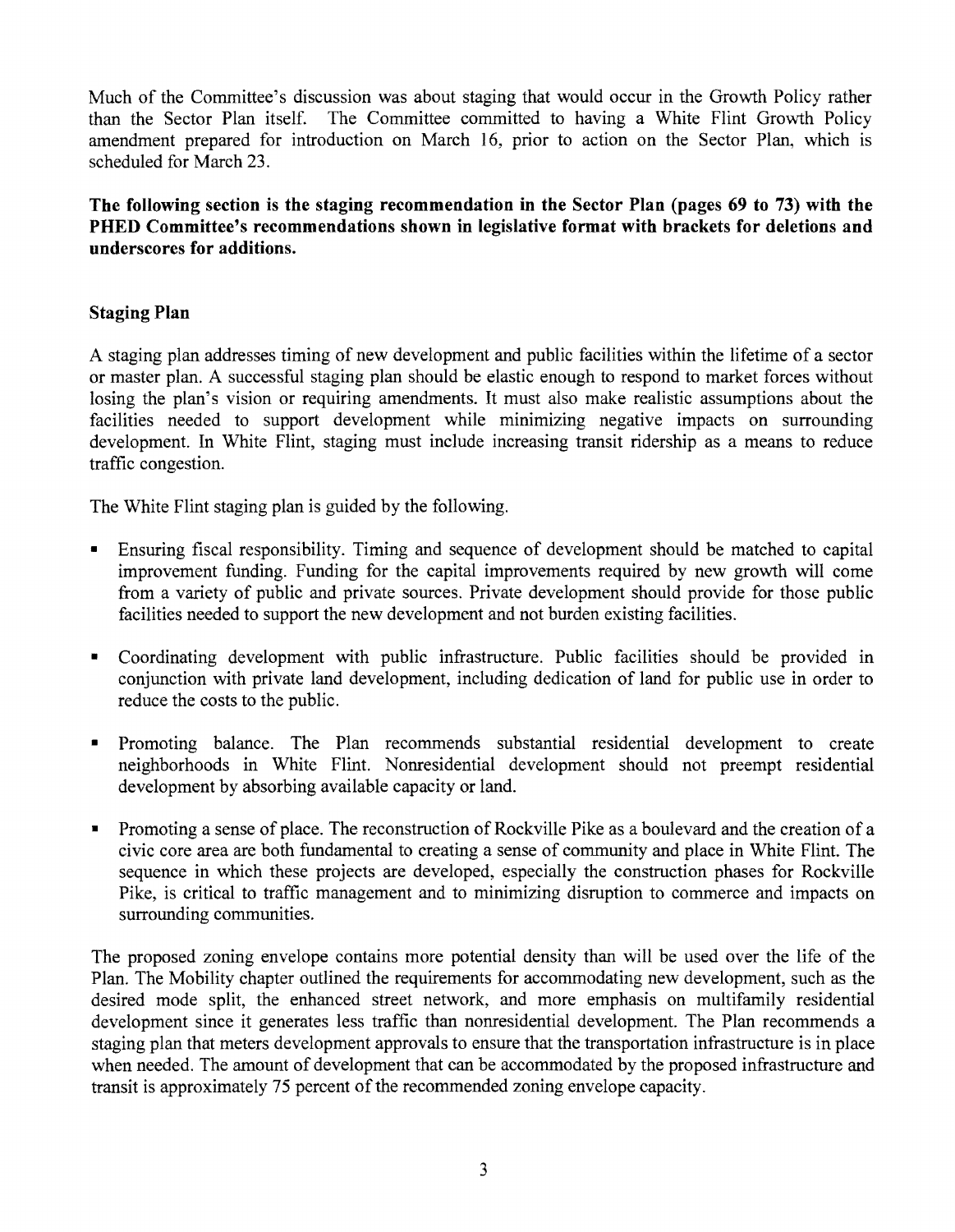Much of the Committee's discussion was about staging that would occur in the Growth Policy rather than the Sector Plan itself. The Committee committed to having a White Flint Growth Policy amendment prepared for introduction on March 16, prior to action on the Sector Plan, which is scheduled for March 23.

The following section is the staging recommendation in the Sector Plan (pages 69 to 73) with the PHED Committee's recommendations shown in legislative format with brackets for deletions and underscores for additions.

# Staging Plan

A staging plan addresses timing of new development and public facilities within the lifetime of a sector or master plan. A successful staging plan should be elastic enough to respond to market forces without losing the plan's vision or requiring amendments. It must also make realistic assumptions about the facilities needed to support development while minimizing negative impacts on surrounding development. In White Flint, staging must include increasing transit ridership as a means to reduce traffic congestion.

The White Flint staging plan is guided by the following.

- Ensuring fiscal responsibility. Timing and sequence of development should be matched to capital improvement funding. Funding for the capital improvements required by new growth will come from a variety of public and private sources. Private development should provide for those public facilities needed to support the new development and not burden existing facilities.
- Coordinating development with public infrastructure. Public facilities should be provided in conjunction with private land development, including dedication of land for public use in order to reduce the costs to the public.
- Promoting balance. The Plan recommends substantial residential development to create neighborhoods in White Flint. Nonresidential development should not preempt residential development by absorbing available capacity or land.
- Promoting a sense of place. The reconstruction of Rockville Pike as a boulevard and the creation of a civic core area are both fundamental to creating a sense of community and place in White Flint. The sequence in which these projects are developed, especially the construction phases for Rockville Pike, is critical to traffic management and to minimizing disruption to commerce and impacts on surrounding communities.

The proposed zoning envelope contains more potential density than will be used over the life of the Plan. The Mobility chapter outlined the requirements for accommodating new development, such as the desired mode split, the enhanced street network, and more emphasis on multifamily residential development since it generates less traffic than nonresidential development. The Plan recommends a staging plan that meters development approvals to ensure that the transportation infrastructure is in place when needed. The amount of development that can be accommodated by the proposed infrastructure and transit is approximately 75 percent of the recommended zoning envelope capacity.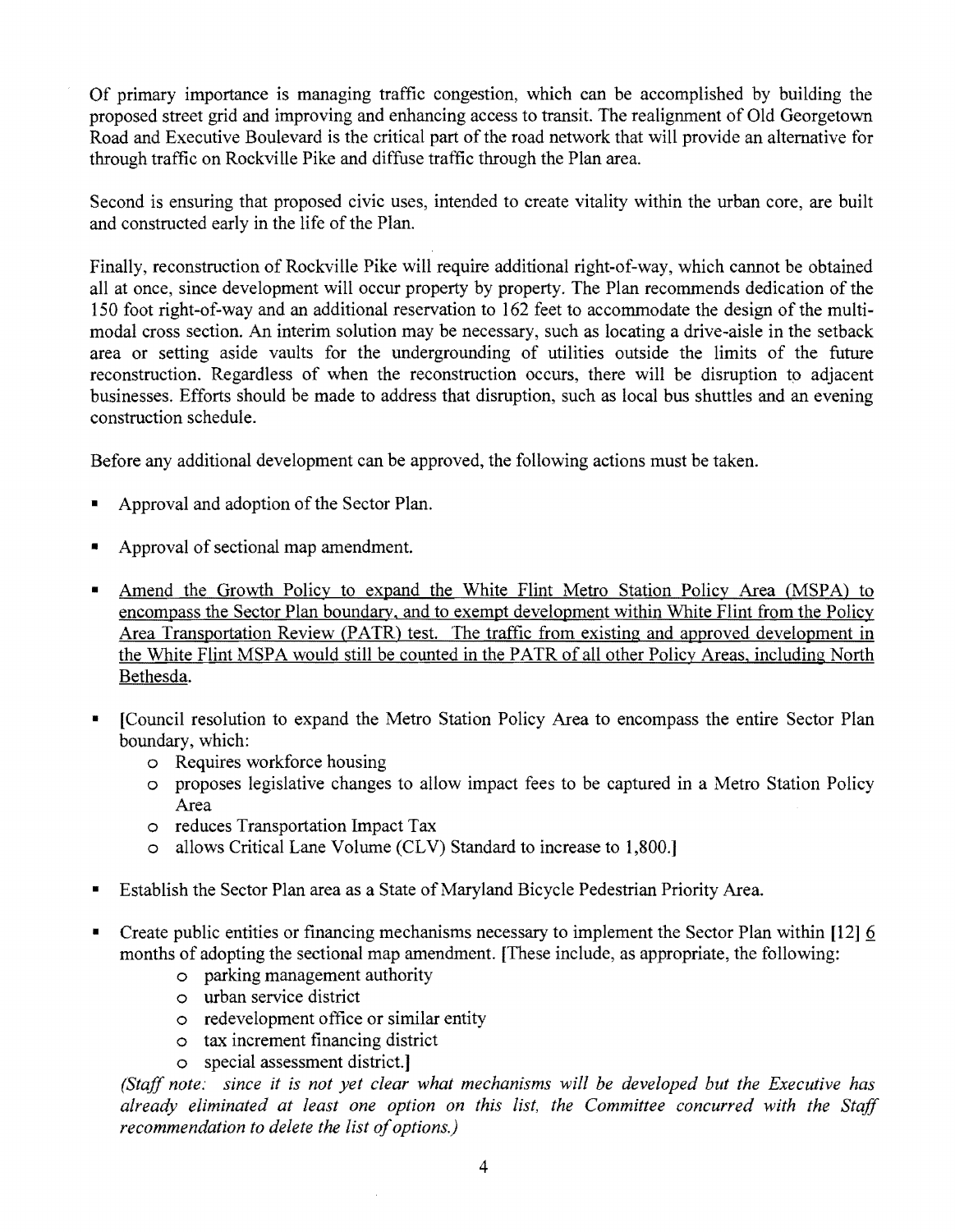Of primary importance is managing traffic congestion, which can be accomplished by building the proposed street grid and improving and enhancing access to transit. The realignment of Old Georgetown Road and Executive Boulevard is the critical part of the road network that will provide an alternative for through traffic on Rockville Pike and diffuse traffic through the Plan area.

Second is ensuring that proposed civic uses, intended to create vitality within the urban core, are built and constructed early in the life of the Plan.

Finally, reconstruction of Rockville Pike will require additional right-of-way, which cannot be obtained all at once, since development will occur property by property. The Plan recommends dedication of the 150 foot right-of-way and an additional reservation to 162 feet to accommodate the design of the multimodal cross section. An interim solution may be necessary, such as locating a drive-aisle in the setback area or setting aside vaults for the undergrounding of utilities outside the limits of the future reconstruction. Regardless of when the reconstruction occurs, there will be disruption to adjacent businesses. Efforts should be made to address that disruption, such as local bus shuttles and an evening construction schedule.

Before any additional development can be approved, the following actions must be taken.

- Approval and adoption of the Sector Plan.
- Approval of sectional map amendment.
- Amend the Growth Policy to expand the White Flint Metro Station Policy Area (MSPA) to encompass the Sector Plan boundary, and to exempt development within White Flint from the Policy Area Transportation Review (PATR) test. The traffic from existing and approved development in the White Flint MSPA would still be counted in the PATR of all other Policy Areas, including North Bethesda.
- [Council resolution to expand the Metro Station Policy Area to encompass the entire Sector Plan boundary, which:
	- o Requires workforce housing
	- o proposes legislative changes to allow impact fees to be captured in a Metro Station Policy Area
	- o reduces Transportation Impact Tax
	- o allows Critical Lane Volume (CLV) Standard to increase to 1,800.]
- Establish the Sector Plan area as a State of Maryland Bicycle Pedestrian Priority Area.
- Create public entities or financing mechanisms necessary to implement the Sector Plan within  $[12]$   $\underline{6}$ months of adopting the sectional map amendment. [These include, as appropriate, the following:
	- o parking management authority
	- o urban service district
	- o redevelopment office or similar entity
	- o tax increment financing district
	- o special assessment district.]

*(Staff note: since it is not yet clear what mechanisms will be developed but the Executive has already eliminated at least one option on this list, the Committee concurred with the Staff*  recommendation to delete the list of options.)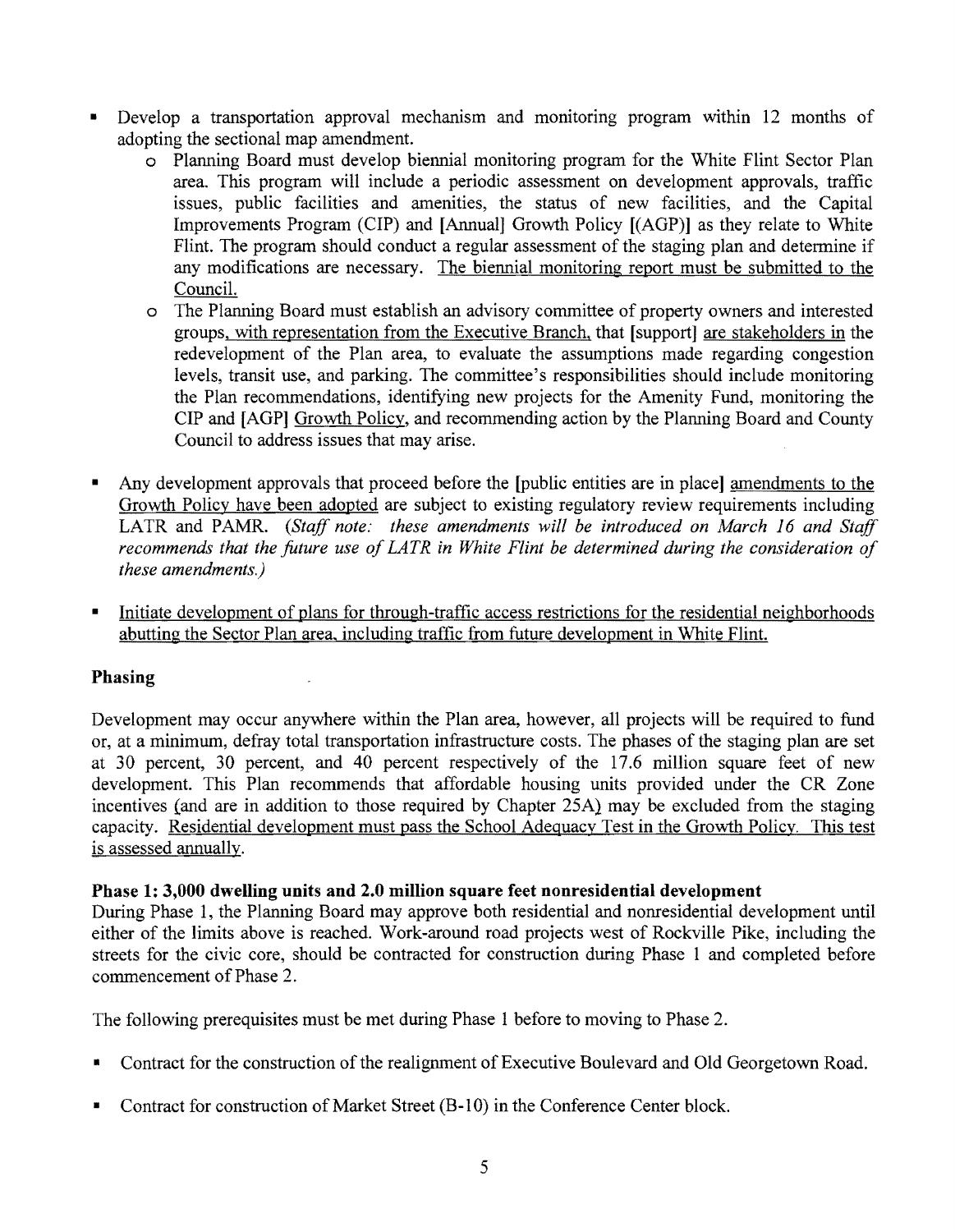- Develop a transportation approval mechanism and monitoring program within 12 months of adopting the sectional map amendment.
	- o Planning Board must develop biennial monitoring program for the White Flint Sector Plan area. This program will include a periodic assessment on development approvals, traffic issues, public facilities and amenities, the status of new facilities, and the Capital Improvements Program (CIP) and [Annual] Growth Policy [(AGP)] as they relate to White Flint. The program should conduct a regular assessment of the staging plan and determine if any modifications are necessary. The biennial monitoring report must be submitted to the Council.
	- o The Planning Board must establish an advisory committee of property owners and interested groups, with representation from the Executive Branch, that [support] are stakeholders in the redevelopment of the Plan area, to evaluate the assumptions made regarding congestion levels, transit use, and parking. The committee's responsibilities should include monitoring the Plan recommendations, identifying new projects for the Amenity Fund, monitoring the CIP and [AGP] Growth Policy, and recommending action by the Planning Board and County Council to address issues that may arise.
- Any development approvals that proceed before the [public entities are in place] amendments to the Growth Policy have been adopted are subject to existing regulatory review requirements including LATR and PAMR. *(Staff note: these amendments will be introduced on March 16 and Staff* recommends that the future use of LATR in White Flint be determined during the consideration of *these amendments.)*
- Initiate development of plans for through-traffic access restrictions for the residential neighborhoods abutting the Sector Plan area, including traffic from future development in White Flint.

## Phasing

Development may occur anywhere within the Plan area, however, all projects will be required to fund or, at a minimum, defray total transportation infrastructure costs. The phases of the staging plan are set at 30 percent, 30 percent, and 40 percent respectively of the 17.6 million square feet of new development. This Plan recommends that affordable housing units provided under the CR Zone incentives (and are in addition to those required by Chapter 25A} may be excluded from the staging capacity. Residential development must pass the School Adequacy Test in the Growth Policy. This test is assessed annually.

## Phase 1: 3,000 dwelling units and 2.0 million square feet nonresidential development

During Phase l, the Planning Board may approve both residential and nonresidential development until either of the limits above is reached. Work-around road projects west of Rockville Pike, including the streets for the civic core, should be contracted for construction during Phase 1 and completed before commencement of Phase 2.

The following prerequisites must be met during Phase 1 before to moving to Phase 2.

- Contract for the construction of the realignment of Executive Boulevard and Old Georgetown Road.
- Contract for construction of Market Street (B-10) in the Conference Center block.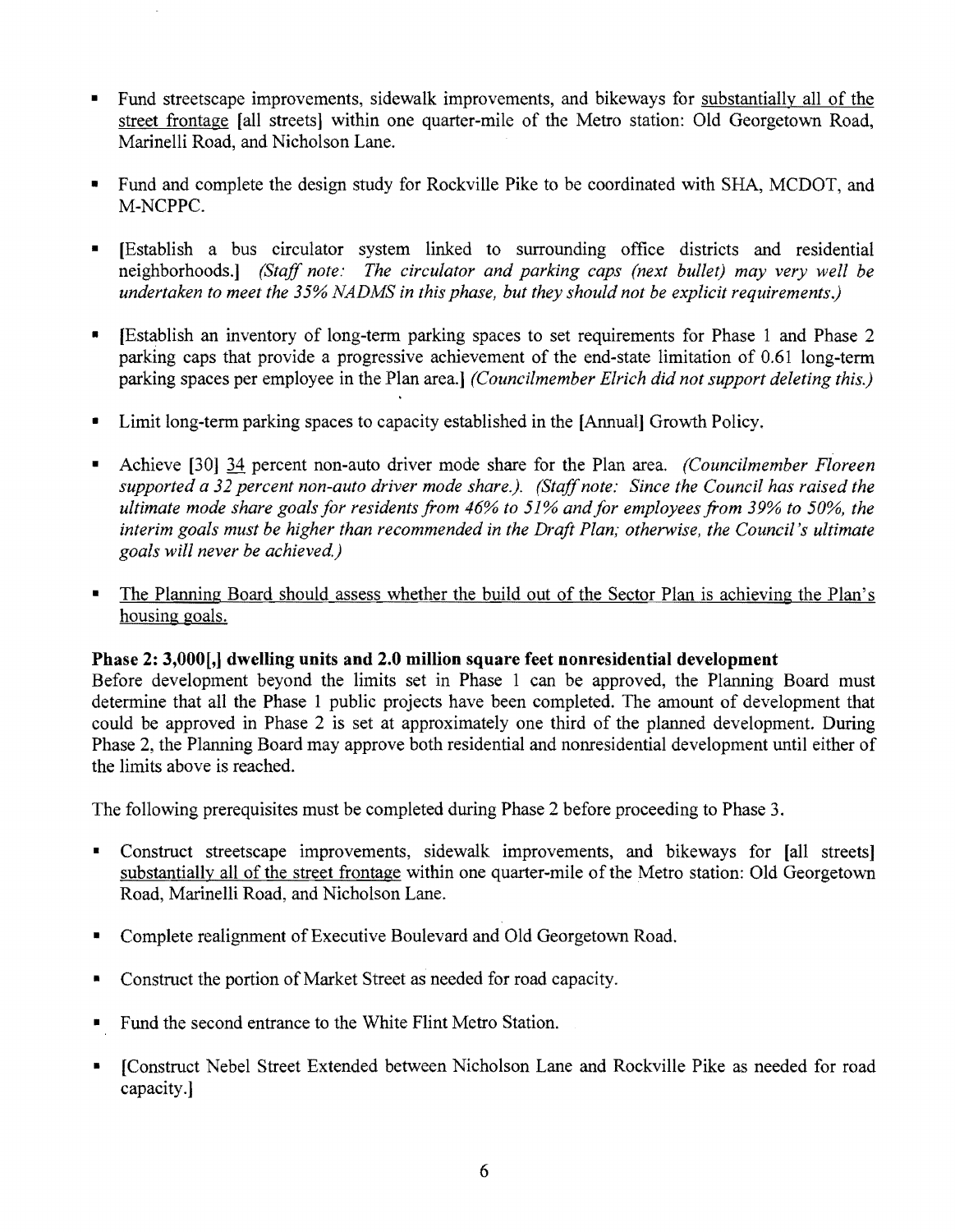- Fund streetscape improvements, sidewalk improvements, and bikeways for substantially all of the street frontage [all streets] within one quarter-mile of the Metro station: Old Georgetown Road, Marinelli Road, and Nicholson Lane.
- Fund and complete the design study for Rockville Pike to be coordinated with SHA, MCDOT, and M-NCPPC.
- [Establish a bus circulator system linked to surrounding office districts and residential neighborhoods.1 *(Staff note: The circulator and parking caps (next bullet) may very well be undertaken to meet the* 35% *NADMS in this phase, but they should not be explicit requirements.}*
- [Establish an inventory of long-term parking spaces to set requirements for Phase 1 and Phase 2 parking caps that provide a progressive achievement of the end-state limitation of 0.61 long-term parking spaces per employee in the Plan area.] *(Councilmember Elrich did not support deleting this.)*
- Limit long-term parking spaces to capacity established in the [Annual] Growth Policy.
- Achieve [301 34 percent non-auto driver mode share for the Plan area. *(Councilmember Floreen supported a* 32 *percent non-auto driver mode share.). (Staff note: Since the Council has raised the ultimate mode share goals for residents from* 46% *to* 51% *andfor employees from* 39% *to 50%, the interim goals must be higher than recommended in the Draft Plan; otherwise, the Council's ultimate goals will never be achieved.)*
- The Planning Board should assess whether the build out of the Sector Plan is achieving the Plan's housing goals.

## Phase 2: 3,000<sup>[</sup>,] dwelling units and 2.0 million square feet nonresidential development

Before development beyond the limits set in Phase 1 can be approved, the Planning Board must determine that all the Phase 1 public projects have been completed. The amount of development that could be approved in Phase 2 is set at approximately one third of the planned development. During Phase 2, the Planning Board may approve both residential and nonresidential development until either of the limits above is reached.

The following prerequisites must be completed during Phase 2 before proceeding to Phase 3.

- Construct streetscape improvements, sidewalk improvements, and bikeways for [all streets] substantially all of the street frontage within one quarter-mile of the Metro station: Old Georgetown Road, Marinelli Road, and Nicholson Lane.
- Complete realignment of Executive Boulevard and Old Georgetown Road.
- Construct the portion of Market Street as needed for road capacity.
- Fund the second entrance to the White Flint Metro Station.
- I Construct Nebel Street Extended between Nicholson Lane and Rockville Pike as needed for road capacity.]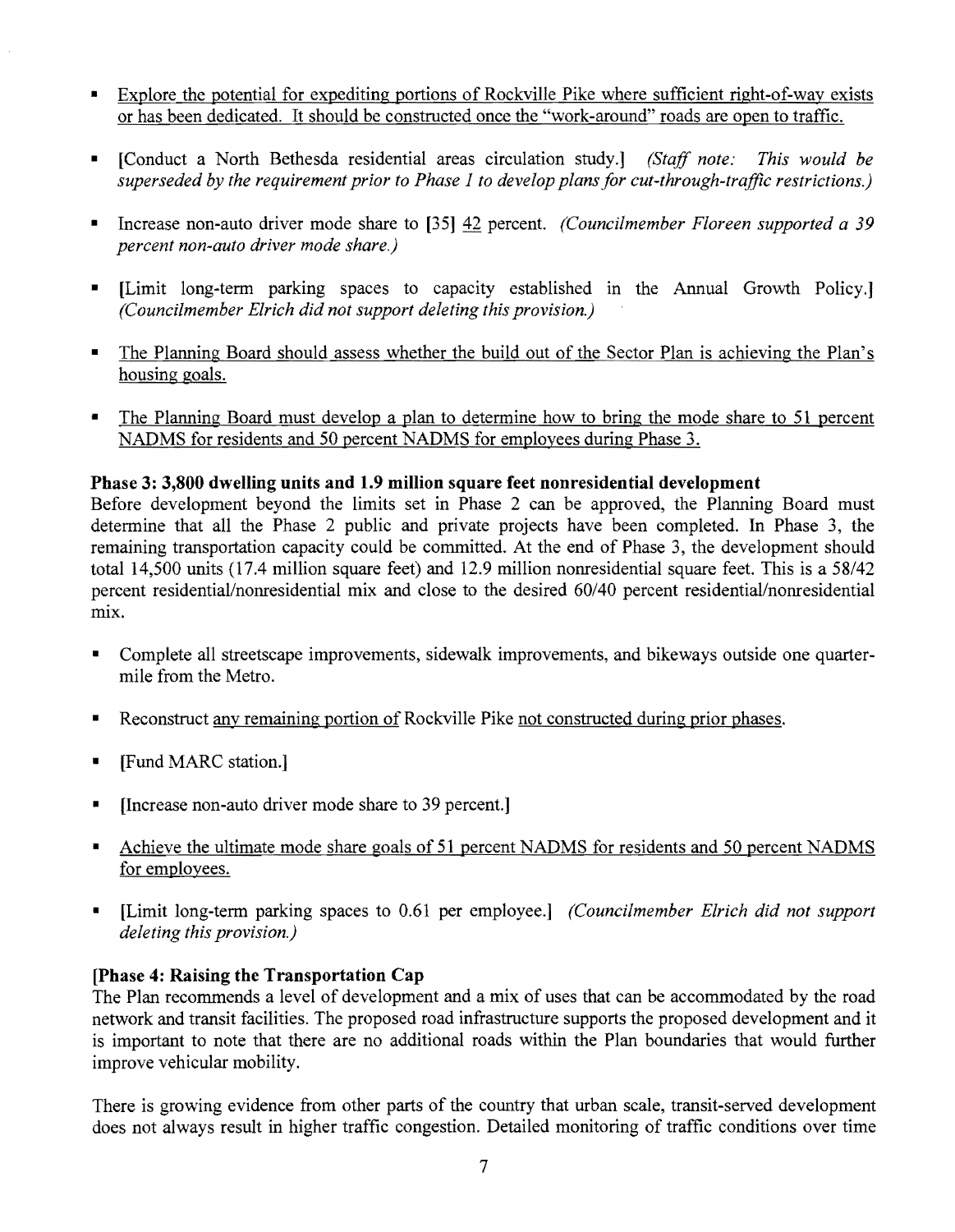- Explore the potential for expediting portions of Rockville Pike where sufficient right-of-way exists or has been dedicated. It should be constructed once the "work-around" roads are open to traffic.
- [Conduct a North Bethesda residential areas circulation study.] *(Staff note: This would be superseded by the requirement prior to Phase 1 to develop plans for cut-through-traffic restrictions.)*
- Increase non-auto driver mode share to [35] 42 percent. *(Councilmember Floreen supported a 39 percent non-auto driver mode share.)*
- [Limit long-term parking spaces to capacity established in the Annual Growth Policy.] *(Councilmember Eirich did not support deleting this provision.)*
- The Planning Board should assess whether the build out of the Sector Plan is achieving the Plan's housing goals.
- The Planning Board must develop a plan to determine how to bring the mode share to 51 percent NADMS for residents and 50 percent NADMS for employees during Phase 3.

## **Phase 3: 3,800 dwelling units and 1.9 million square feet nonresidential development**

Before development beyond the limits set in Phase 2 can be approved, the Planning Board must determine that all the Phase 2 public and private projects have been completed. In Phase 3, the remaining transportation capacity could be committed. At the end of Phase 3, the development should total 14,500 units (17.4 million square feet) and 12.9 million nonresidential square feet. This is a 58/42 percent residential/nonresidential mix and close to the desired 60/40 percent residential/nonresidential mix.

- Complete all streetscape improvements, sidewalk improvements, and bikeways outside one quartermile from the Metro.
- Reconstruct any remaining portion of Rockville Pike not constructed during prior phases.
- [Fund MARC station.]
- [Increase non-auto driver mode share to 39 percent.]
- Achieve the ultimate mode share goals of 51 percent NADMS for residents and 50 percent NADMS for employees.
- [Limit long-term parking spaces to 0.61 per employee.] *(Councilmember Eirich did not support deleting this provision.)*

## **(Phase 4: Raising the Transportation Cap**

The Plan recommends a level of development and a mix of uses that can be accommodated by the road network and transit facilities. The proposed road infrastructure supports the proposed development and it is important to note that there are no additional roads within the Plan boundaries that would further improve vehicular mobility.

There is growing evidence from other parts of the country that urban scale, transit-served development does not always result in higher traffic congestion. Detailed monitoring of traffic conditions over time